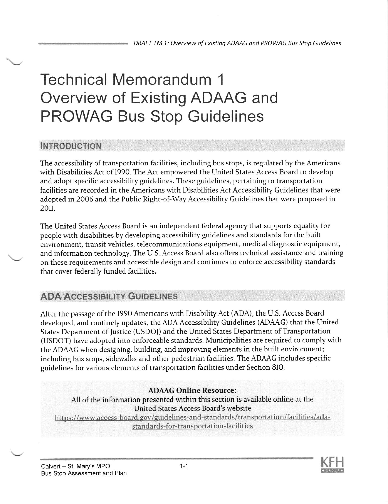# Technical Memorandum 1 Overview of Existing ADAAG and PROWAG Bus Stop Guidelines

#### INTRoDUcTIoN

The accessibility of transportation facilities, including bus stops, is regulated by the Americans with Disabilities Act of 1990. The Act empowered the United States Access Board to develop and adopt specific accessibility guidelines. These guidelines, pertaining to transportation facilities are recorded in the Americans with Disabilities Act Accessibility Guidelines that were adopted in 2006 and the Public Right-of-Way Accessibility Guidelines that were proposed in 2011.

The United States Access Board is an independent federal agency that supports equality for people with disabilities by developing accessibility guidelines and standards for the built environment, transit vehicles, telecommunications equipment, medical diagnostic equipment, and information technology. The U.S. Access Board also offers technical assistance and training on these requirements and accessible design and continues to enforce accessibility standards that cover federally funded facilities.

## **ADA ACCESSIBILITY GUIDELINES**

After the passage of the 1990 Americans with Disability Act (ADA), the U.S. Access Board developed, and routinely updates, the ADA Accessibility Guidelines (ADAAG) that the United States Department of Justice (USDOJ) and the United States Department of Transportation (USDOT) have adopted into enforceable standards. Municipalities are required to comply with the ADAAG when designing, building, and improving elements in the built environment; including bus stops, sidewalks and other pedestrian facilities. The ADAAG includes specific guidelines for various elements of transportation facilities under Section 8I0.

ADAAG Online Resource: All of the information presented within this section is available online at the United States Access Board's website -board.gov/guidelines-and-standards/tran standards-for-transportation-facilities